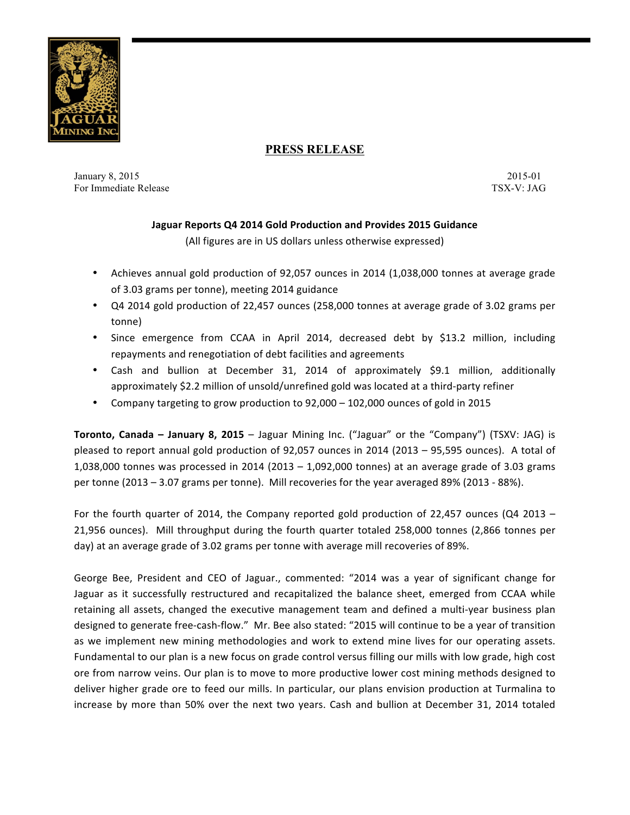

# **PRESS RELEASE**

January 8, 2015 2015-01 For Immediate Release TSX-V: JAG

## **Jaguar Reports Q4 2014 Gold Production and Provides 2015 Guidance**

(All figures are in US dollars unless otherwise expressed)

- Achieves annual gold production of 92,057 ounces in 2014 (1,038,000 tonnes at average grade of 3.03 grams per tonne), meeting 2014 guidance
- Q4 2014 gold production of 22,457 ounces (258,000 tonnes at average grade of 3.02 grams per tonne)
- Since emergence from CCAA in April 2014, decreased debt by \$13.2 million, including repayments and renegotiation of debt facilities and agreements
- Cash and bullion at December 31, 2014 of approximately \$9.1 million, additionally approximately \$2.2 million of unsold/unrefined gold was located at a third-party refiner
- Company targeting to grow production to 92,000 102,000 ounces of gold in 2015

**Toronto, Canada – January 8, 2015** – Jaguar Mining Inc. ("Jaguar" or the "Company") (TSXV: JAG) is pleased to report annual gold production of 92,057 ounces in 2014 (2013 – 95,595 ounces). A total of 1,038,000 tonnes was processed in 2014 (2013 – 1,092,000 tonnes) at an average grade of 3.03 grams per tonne  $(2013 - 3.07$  grams per tonne). Mill recoveries for the year averaged 89%  $(2013 - 88%)$ .

For the fourth quarter of 2014, the Company reported gold production of 22,457 ounces (Q4 2013  $-$ 21,956 ounces). Mill throughput during the fourth quarter totaled 258,000 tonnes (2,866 tonnes per day) at an average grade of 3.02 grams per tonne with average mill recoveries of 89%.

George Bee, President and CEO of Jaguar., commented: "2014 was a year of significant change for Jaguar as it successfully restructured and recapitalized the balance sheet, emerged from CCAA while retaining all assets, changed the executive management team and defined a multi-year business plan designed to generate free-cash-flow." Mr. Bee also stated: "2015 will continue to be a year of transition as we implement new mining methodologies and work to extend mine lives for our operating assets. Fundamental to our plan is a new focus on grade control versus filling our mills with low grade, high cost ore from narrow veins. Our plan is to move to more productive lower cost mining methods designed to deliver higher grade ore to feed our mills. In particular, our plans envision production at Turmalina to increase by more than 50% over the next two years. Cash and bullion at December 31, 2014 totaled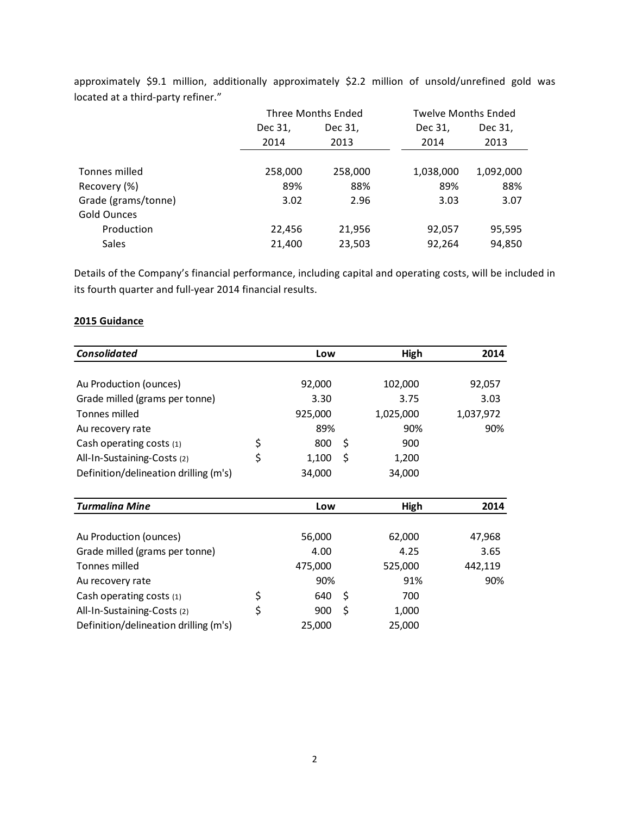|                     |         | Three Months Ended |           | <b>Twelve Months Ended</b> |  |
|---------------------|---------|--------------------|-----------|----------------------------|--|
|                     | Dec 31, | Dec 31,            | Dec 31,   | Dec 31,                    |  |
|                     | 2014    | 2013               | 2014      | 2013                       |  |
|                     |         |                    |           |                            |  |
| Tonnes milled       | 258,000 | 258,000            | 1,038,000 | 1,092,000                  |  |
| Recovery (%)        | 89%     | 88%                | 89%       | 88%                        |  |
| Grade (grams/tonne) | 3.02    | 2.96               | 3.03      | 3.07                       |  |
| Gold Ounces         |         |                    |           |                            |  |
| Production          | 22,456  | 21,956             | 92,057    | 95,595                     |  |
| <b>Sales</b>        | 21,400  | 23,503             | 92,264    | 94,850                     |  |

approximately \$9.1 million, additionally approximately \$2.2 million of unsold/unrefined gold was located at a third-party refiner."

Details of the Company's financial performance, including capital and operating costs, will be included in its fourth quarter and full-year 2014 financial results.

### **2015 Guidance**

| <b>Consolidated</b>                   | Low               | High      | 2014      |
|---------------------------------------|-------------------|-----------|-----------|
|                                       |                   |           |           |
| Au Production (ounces)                | 92,000            | 102,000   | 92,057    |
| Grade milled (grams per tonne)        | 3.30              | 3.75      | 3.03      |
| Tonnes milled                         | 925,000           | 1,025,000 | 1,037,972 |
| Au recovery rate                      | 89%               | 90%       | 90%       |
| Cash operating costs (1)              | \$<br>\$<br>800   | 900       |           |
| All-In-Sustaining-Costs (2)           | \$<br>\$<br>1,100 | 1,200     |           |
| Definition/delineation drilling (m's) | 34,000            | 34,000    |           |
|                                       |                   |           |           |
| <b>Turmalina Mine</b>                 | Low               | High      | 2014      |
|                                       |                   |           |           |
| Au Production (ounces)                | 56,000            | 62,000    | 47,968    |
| Grade milled (grams per tonne)        | 4.00              | 4.25      | 3.65      |
| Tonnes milled                         | 475,000           | 525,000   | 442,119   |
| Au recovery rate                      | 90%               | 91%       | 90%       |
| Cash operating costs (1)              | \$<br>\$<br>640   | 700       |           |
| All-In-Sustaining-Costs (2)           | \$<br>\$<br>900   | 1,000     |           |
| Definition/delineation drilling (m's) | 25,000            | 25,000    |           |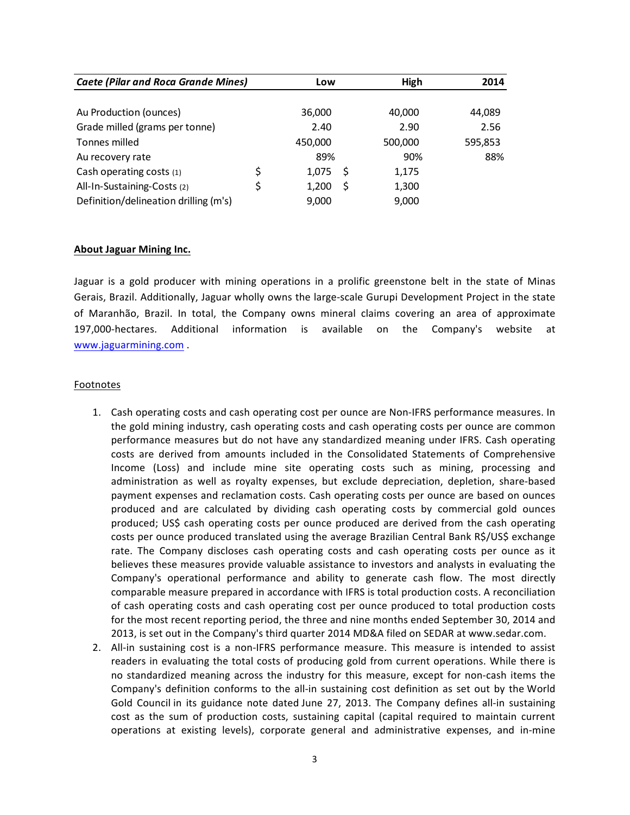| <b>Caete (Pilar and Roca Grande Mines)</b> |    | Low     |   | High    | 2014    |
|--------------------------------------------|----|---------|---|---------|---------|
|                                            |    |         |   |         |         |
| Au Production (ounces)                     |    | 36,000  |   | 40,000  | 44,089  |
| Grade milled (grams per tonne)             |    | 2.40    |   | 2.90    | 2.56    |
| Tonnes milled                              |    | 450,000 |   | 500,000 | 595,853 |
| Au recovery rate                           |    | 89%     |   | 90%     | 88%     |
| Cash operating costs (1)                   | \$ | 1.075   | S | 1,175   |         |
| All-In-Sustaining-Costs (2)                | \$ | 1,200   | S | 1,300   |         |
| Definition/delineation drilling (m's)      |    | 9,000   |   | 9,000   |         |

### **About Jaguar Mining Inc.**

Jaguar is a gold producer with mining operations in a prolific greenstone belt in the state of Minas Gerais, Brazil. Additionally, Jaguar wholly owns the large-scale Gurupi Development Project in the state of Maranhão, Brazil. In total, the Company owns mineral claims covering an area of approximate 197,000-hectares. Additional information is available on the Company's website at www.jaguarmining.com .

#### Footnotes

- 1. Cash operating costs and cash operating cost per ounce are Non-IFRS performance measures. In the gold mining industry, cash operating costs and cash operating costs per ounce are common performance measures but do not have any standardized meaning under IFRS. Cash operating costs are derived from amounts included in the Consolidated Statements of Comprehensive Income (Loss) and include mine site operating costs such as mining, processing and administration as well as royalty expenses, but exclude depreciation, depletion, share-based payment expenses and reclamation costs. Cash operating costs per ounce are based on ounces produced and are calculated by dividing cash operating costs by commercial gold ounces produced; US\$ cash operating costs per ounce produced are derived from the cash operating costs per ounce produced translated using the average Brazilian Central Bank R\$/US\$ exchange rate. The Company discloses cash operating costs and cash operating costs per ounce as it believes these measures provide valuable assistance to investors and analysts in evaluating the Company's operational performance and ability to generate cash flow. The most directly comparable measure prepared in accordance with IFRS is total production costs. A reconciliation of cash operating costs and cash operating cost per ounce produced to total production costs for the most recent reporting period, the three and nine months ended September 30, 2014 and 2013, is set out in the Company's third quarter 2014 MD&A filed on SEDAR at www.sedar.com.
- 2. All-in sustaining cost is a non-IFRS performance measure. This measure is intended to assist readers in evaluating the total costs of producing gold from current operations. While there is no standardized meaning across the industry for this measure, except for non-cash items the Company's definition conforms to the all-in sustaining cost definition as set out by the World Gold Council in its guidance note dated June 27, 2013. The Company defines all-in sustaining cost as the sum of production costs, sustaining capital (capital required to maintain current operations at existing levels), corporate general and administrative expenses, and in-mine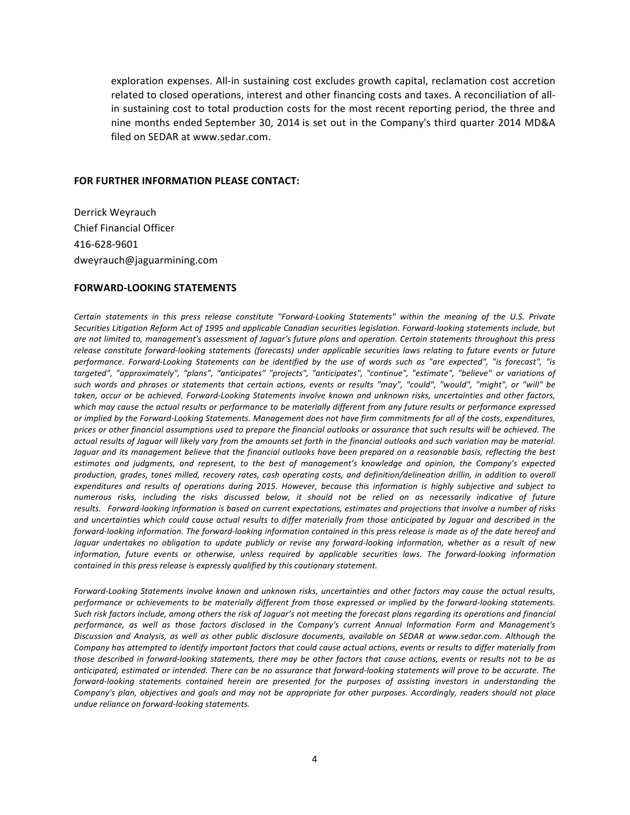exploration expenses. All-in sustaining cost excludes growth capital, reclamation cost accretion related to closed operations, interest and other financing costs and taxes. A reconciliation of allin sustaining cost to total production costs for the most recent reporting period, the three and nine months ended September 30, 2014 is set out in the Company's third quarter 2014 MD&A filed on SEDAR at www.sedar.com.

#### **FOR FURTHER INFORMATION PLEASE CONTACT:**

Derrick Weyrauch Chief Financial Officer 416-628-9601 dweyrauch@jaguarmining.com

#### **FORWARD-LOOKING STATEMENTS**

Certain statements in this press release constitute "Forward-Looking Statements" within the meaning of the U.S. Private Securities Litigation Reform Act of 1995 and applicable Canadian securities legislation. Forward-looking statements include, but are not limited to, management's assessment of Jaguar's future plans and operation. Certain statements throughout this press *release constitute forward-looking statements (forecasts)* under *applicable securities laws relating to future events or future* performance. Forward-Looking Statements can be identified by the use of words such as "are expected", "is forecast", "is targeted", "approximately", "plans", "anticipates" "projects", "anticipates", "continue", "estimate", "believe" or variations of such words and phrases or statements that certain actions, events or results "may", "could", "would", "might", or "will" be taken, occur or be achieved. Forward-Looking Statements involve known and unknown risks, uncertainties and other factors, which may cause the actual results or performance to be materially different from any future results or performance expressed or implied by the Forward-Looking Statements. Management does not have firm commitments for all of the costs, expenditures, prices or other financial assumptions used to prepare the financial outlooks or assurance that such results will be achieved. The actual results of Jaguar will likely vary from the amounts set forth in the financial outlooks and such variation may be material. *Jaguar* and its management believe that the financial outlooks have been prepared on a reasonable basis, reflecting the best estimates and judgments, and represent, to the best of management's knowledge and opinion, the Company's expected production, grades, tones milled, recovery rates, cash operating costs, and definition/delineation drillin, in addition to overall expenditures and results of operations during 2015. However, because this information is highly subjective and subject to numerous risks, including the risks discussed below, it should not be relied on as necessarily indicative of future results. Forward-looking information is based on current expectations, estimates and projections that involve a number of risks and uncertainties which could cause actual results to differ materially from those anticipated by Jaguar and described in the *forward-looking information. The forward-looking information contained in this press release is made as of the date hereof and* Jaguar *undertakes no obligation to update publicly or revise any forward-looking information, whether as a result of new* information, future events or otherwise, unless required by applicable securities laws. The forward-looking information *contained in this press release is expressly qualified by this cautionary statement.* 

Forward-Looking Statements involve known and unknown risks, uncertainties and other factors may cause the actual results, performance or achievements to be materially different from those expressed or implied by the forward-looking statements. Such risk factors include, among others the risk of Jaguar's not meeting the forecast plans regarding its operations and financial performance, as well as those factors disclosed in the Company's current Annual Information Form and Management's Discussion and Analysis, as well as other public disclosure documents, available on SEDAR at www.sedar.com. Although the Company has attempted to identify important factors that could cause actual actions, events or results to differ materially from those described in forward-looking statements, there may be other factors that cause actions, events or results not to be as anticipated, estimated or intended. There can be no assurance that forward-looking statements will prove to be accurate. The *forward-looking statements contained herein are presented for the purposes of assisting investors in understanding the* Company's plan, objectives and goals and may not be appropriate for other purposes. Accordingly, readers should not place *undue reliance on forward-looking statements.*